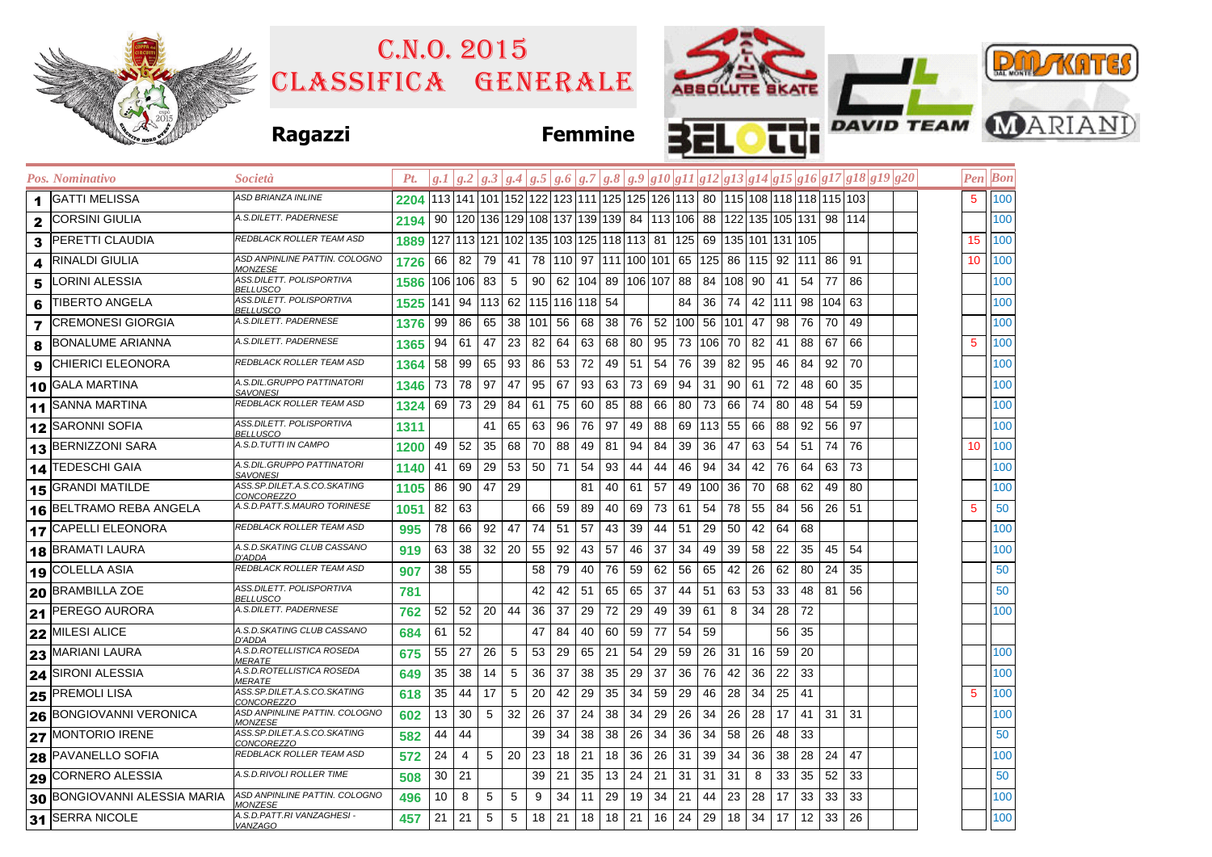|                                       |                                                        | C.N.0.2015          |                                                                                         |                                      |                      |              |     |                                    |                   |    |                   |                              |         |    |                                                                                           |    |           |     |              |  |  |                 |                | <b>PULAKATES</b>              |  |  |  |
|---------------------------------------|--------------------------------------------------------|---------------------|-----------------------------------------------------------------------------------------|--------------------------------------|----------------------|--------------|-----|------------------------------------|-------------------|----|-------------------|------------------------------|---------|----|-------------------------------------------------------------------------------------------|----|-----------|-----|--------------|--|--|-----------------|----------------|-------------------------------|--|--|--|
|                                       |                                                        | CLASSIFICA GENERALE |                                                                                         |                                      |                      |              |     |                                    |                   |    |                   |                              |         |    |                                                                                           |    |           |     |              |  |  |                 |                |                               |  |  |  |
|                                       | <b>Ragazzi</b>                                         |                     |                                                                                         |                                      |                      |              |     |                                    | <b>Femmine</b>    |    |                   | Е                            |         |    |                                                                                           |    |           |     |              |  |  |                 |                | <b>THE DAVID TEAM MARIAND</b> |  |  |  |
| Pos. Nominativo                       | Società                                                | Pt.                 | $ g,I g.2 g.3 g.4 g.5 g.6 g.7 g.8 g.9 g10 g11 g12 g13 g14 g15 g16 g17 g18 g19 g20$      |                                      |                      |              |     |                                    |                   |    |                   |                              |         |    |                                                                                           |    |           |     |              |  |  |                 | <b>Pen</b> Bon |                               |  |  |  |
| <b>GATTI MELISSA</b><br>1             | ASD BRIANZA INLINE                                     |                     | 2204 113 141 101 152 122 123 111 125 125 126 113 80 115 108 118 118 115 103             |                                      |                      |              |     |                                    |                   |    |                   |                              |         |    |                                                                                           |    |           |     |              |  |  | 5               | 100            |                               |  |  |  |
| <b>CORSINI GIULIA</b><br>$\mathbf{2}$ | 4.S.DILETT. PADERNESE                                  | 2194                | 90  120  136  129  108  137  139  139   84  113  106   88  122  135  105  131   98  114 |                                      |                      |              |     |                                    |                   |    |                   |                              |         |    |                                                                                           |    |           |     |              |  |  |                 | 100            |                               |  |  |  |
| PERETTI CLAUDIA<br>3                  | REDBLACK ROLLER TEAM ASD                               | 1889                | 127  113  121  102  135  103  125  118  113   81  125   69  135  101  131  105          |                                      |                      |              |     |                                    |                   |    |                   |                              |         |    |                                                                                           |    |           |     |              |  |  | 15              | 100            |                               |  |  |  |
| RINALDI GIULIA<br>4                   | ASD ANPINLINE PATTIN. COLOGNO<br><u>MONZESE</u>        | 1726                | 66                                                                                      |                                      |                      |              |     |                                    |                   |    |                   |                              |         |    | 82   79   41   78   110   97   111   100   101   65   125   86   115   92   111   86   91 |    |           |     |              |  |  | 10              | 100            |                               |  |  |  |
| ORINI ALESSIA<br>5                    | 4SS.DILETT. POLISPORTIVA<br><u>BELLUSCO</u>            | 1586                | 106 106  83                                                                             |                                      | $5\overline{)}$      | 90           |     | 62  104  89  106 107  88   84  108 |                   |    |                   |                              |         |    | 90                                                                                        | 41 | 54        | 77  | 86           |  |  |                 | 100            |                               |  |  |  |
| <b>TIBERTO ANGELA</b><br>6            | ASS.DILETT. POLISPORTIVA<br>BELLUSCO                   | 1525                | $141$                                                                                   | 94   113   62   115   116   118   54 |                      |              |     |                                    |                   |    |                   | 84                           | 36      | 74 |                                                                                           |    | 42 111 98 | 104 | 63           |  |  |                 | 100            |                               |  |  |  |
| <b>CREMONESI GIORGIA</b><br>7         | A.S.DILETT. PADERNESE                                  | 1376                | 99                                                                                      | 86 65                                | 38 101 56 68 38      |              |     |                                    |                   |    | 76 52 100 56 101  |                              |         |    | 47                                                                                        | 98 | 76        | 70  | 49           |  |  |                 | 100            |                               |  |  |  |
| <b>BONALUME ARIANNA</b><br>8          | 4.S.DILETT. PADERNESE                                  | 1365                | 94<br>61                                                                                | 47                                   | $23 \mid 82$         |              | 64  |                                    | 63 68             | 80 |                   | 95 73 106 70                 |         |    | 82                                                                                        | 41 | 88        | 67  | 66           |  |  | 5               | 100            |                               |  |  |  |
| CHIERICI ELEONORA<br>9                | REDBLACK ROLLER TEAM ASD                               | 1364                | 58                                                                                      | 99 65                                | 93 86                |              | 53  | 72 49                              |                   | 51 |                   | $54$ 76                      | 39      | 82 | 95                                                                                        | 46 | 84        | 92  | 70           |  |  |                 | 100            |                               |  |  |  |
| <b>GALA MARTINA</b><br>10             | 4.S.DIL.GRUPPO PATTINATORI<br>SAVONESI                 | 1346                | 73<br>78                                                                                | 97                                   | 47                   | 95           | 67  |                                    | 93 63             | 73 | 69 94             |                              | 31 90   |    | 61                                                                                        | 72 | 48        | 60  | 35           |  |  |                 | 100            |                               |  |  |  |
| <b>SANNA MARTINA</b><br>11            | REDBLACK ROLLER TEAM ASD                               | 1324                | 69                                                                                      | 73 29                                | 84 61                |              | 75  | 60                                 | 85                | 88 |                   | 66 80                        | 73      | 66 | 74                                                                                        | 80 | 48        | 54  | 59           |  |  |                 | 100            |                               |  |  |  |
| <b>SARONNI SOFIA</b><br>12            | ASS.DILETT. POLISPORTIVA<br><i>BELLUSCO</i>            | 1311                |                                                                                         | 41                                   | 65                   | 63           | 96  | 76 97                              |                   | 49 |                   | 88 69 113 55                 |         |    | 66                                                                                        | 88 | 92        | 56  | 97           |  |  |                 | 100            |                               |  |  |  |
| <b>BERNIZZONI SARA</b><br>13          | 4.S.D.TUTTI IN CAMPO                                   | 1200                | 49<br>52                                                                                | 35                                   | 68                   | 70           | 88  | 49 81                              |                   | 94 | 84                | 39                           | 36      | 47 | 63                                                                                        | 54 | 51        | 74  | 76           |  |  | 10 <sup>°</sup> | 100            |                               |  |  |  |
| 14 TEDESCHI GAIA                      | 4.S.DIL.GRUPPO PATTINATORI<br><u>SAVONESI</u>          | $1140$ 41           |                                                                                         | 69 29                                | 53 50 71             |              |     |                                    | 54 93             | 44 | 44                | 46                           | 94      | 34 | 42                                                                                        | 76 | 64        | 63  | 73           |  |  |                 | 100            |                               |  |  |  |
| <b>GRANDI MATILDE</b><br>15           | ASS.SP.DILET.A.S.CO.SKATING<br><u>CONCOREZZO</u>       | 1105                | 90<br>86                                                                                | 47                                   | 29                   |              |     | 81                                 | 40                | 61 | 57                | 49                           | 100 36  |    | 70                                                                                        | 68 | 62        | 49  | -80          |  |  |                 | 100            |                               |  |  |  |
| <b>BELTRAMO REBA ANGELA</b><br>16     | A.S.D.PATT.S.MAURO TORINESE                            | 1051                | 82<br>63                                                                                |                                      |                      | 66 59        |     | 89                                 | 40                | 69 | 73 61             |                              | 54      | 78 | 55                                                                                        | 84 | 56        |     | 26 51        |  |  | 5               | 50             |                               |  |  |  |
| <b>CAPELLI ELEONORA</b><br>17         | REDBLACK ROLLER TEAM ASD                               | 995                 | 78<br>66                                                                                | 92                                   | 47                   | 74           | 51  | 57                                 | 43                | 39 | 44 51             |                              | 29      | 50 | 42                                                                                        | 64 | 68        |     |              |  |  |                 | 100            |                               |  |  |  |
| <b>BRAMATI LAURA</b><br>18            | A.S.D.SKATING CLUB CASSANO<br>D'ADDA                   | 919                 | 63<br>38                                                                                |                                      | $32 \mid 20 \mid$    | 55           | 92  | 43 57                              |                   | 46 | 37                | 34                           | 49      | 39 | 58                                                                                        | 22 | 35        | 45  | -54          |  |  |                 | 100            |                               |  |  |  |
| <b>COLELLA ASIA</b><br>19             | REDBLACK ROLLER TEAM ASD                               | 907                 | 38<br>55                                                                                |                                      |                      | 58           | 79  |                                    | 40 76             | 59 | 62 56             |                              | 65      | 42 | 26                                                                                        | 62 | 80        | 24  | 35           |  |  |                 | 50             |                               |  |  |  |
| <b>BRAMBILLA ZOE</b><br>20            | 4SS.DILETT. POLISPORTIVA<br><i>BELLUSCO</i>            | 781                 |                                                                                         |                                      |                      | 42           | 42  | 51                                 | 65                | 65 | 37                | 44                           | 51      | 63 | 53                                                                                        | 33 | 48        | 81  | 56           |  |  |                 | 50             |                               |  |  |  |
| <b>PEREGO AURORA</b><br>21            | 4.S.DILETT. PADERNESE                                  | 762                 | 52                                                                                      | $52$   20   44                       |                      | 36 37        |     | 29 72                              |                   | 29 |                   | 49 39                        | 61      | 8  | 34                                                                                        | 28 | 72        |     |              |  |  |                 | 100            |                               |  |  |  |
| 22 MILESI ALICE                       | 4.S.D.SKATING CLUB CASSANO<br>D'ADDA                   | 684                 | 52<br>61                                                                                |                                      |                      | 47           | -84 |                                    | 40 60             | 59 | 77                |                              | 54 59   |    |                                                                                           | 56 | 35        |     |              |  |  |                 |                |                               |  |  |  |
| 23 MARIANI LAURA                      | A.S.D.ROTELLISTICA ROSEDA<br><i><b>MERATE</b></i>      | 675                 | 27<br>55                                                                                | 26                                   | $5\overline{)}$      | 53           |     | 29 65 21                           |                   | 54 | 29   59   26   31 |                              |         |    | 16                                                                                        |    | 59 20     |     |              |  |  |                 | 100            |                               |  |  |  |
| 24 SIRONI ALESSIA                     | A.S.D.ROTELLISTICA ROSEDA<br><u>MERATE</u>             | 649                 | 35                                                                                      | 38 14 5                              |                      |              |     | 36 37 38 35 29 37 36 76 42         |                   |    |                   |                              |         |    |                                                                                           |    | 36 22 33  |     |              |  |  |                 | 100            |                               |  |  |  |
| 25 PREMOLI LISA                       | 4SS.SP.DILET.A.S.CO.SKATING<br><u>CONCOREZZO</u>       | 618                 | 35<br>44                                                                                | 17                                   | 5                    | 20           |     | 42 29 35                           |                   |    |                   |                              |         |    | 34 59 29 46 28 34                                                                         |    | 25 41     |     |              |  |  | 5               | 100            |                               |  |  |  |
| <b>BONGIOVANNI VERONICA</b><br>26     | ASD ANPINLINE PATTIN. COLOGNO<br>MONZESE               | 602                 | 30 <br>13                                                                               | 5 <sup>5</sup>                       | $32 \mid 26 \mid 37$ |              |     | 24 38                              |                   | 34 |                   | $29 \mid 26 \mid 34 \mid 26$ |         |    | 28                                                                                        | 17 | 41        |     | $31 \mid 31$ |  |  |                 | 100            |                               |  |  |  |
| 27 MONTORIO IRENE                     | ASS.SP.DILET.A.S.CO.SKATING<br><i>CONCOREZZO</i>       | 582                 | 44<br>44                                                                                |                                      |                      | $39 \mid 34$ |     | 38 38                              |                   | 26 |                   | 34   36   34                 |         | 58 | 26                                                                                        | 48 | 33        |     |              |  |  |                 | 50             |                               |  |  |  |
| 28 PAVANELLO SOFIA                    | REDBLACK ROLLER TEAM ASD                               | 572                 | 24<br>4                                                                                 | 5                                    | 20                   | 23           | 18  | $21 \quad 18$                      |                   | 36 |                   | 26 31                        | 39 34   |    | 36                                                                                        | 38 | 28        | 24  | 47           |  |  |                 | 100            |                               |  |  |  |
| 29 CORNERO ALESSIA                    | A.S.D.RIVOLI ROLLER TIME                               | 508                 | 30<br>21                                                                                |                                      |                      | 39           | 21  |                                    | $35 \mid 13 \mid$ | 24 | 21 31             |                              | $31$ 31 |    | 8                                                                                         | 33 | 35        | 52  | 33           |  |  |                 | 50             |                               |  |  |  |
| BONGIOVANNI ALESSIA MARIA<br>30       | ASD ANPINLINE PATTIN. COLOGNO<br><i><b>MONZESE</b></i> | 496                 | 10<br>8                                                                                 | 5                                    | $\sqrt{5}$           | 9            | 34  | 11                                 | 29                | 19 | 34 21             |                              | 44      | 23 | 28                                                                                        | 17 | 33        | 33  | 33           |  |  |                 | 100            |                               |  |  |  |
| 31 SERRA NICOLE                       | A.S.D.PATT.RI VANZAGHESI -<br>VANZAGO                  | 457                 | 21<br>21                                                                                | 5                                    | 5                    | 18           | 21  |                                    | $18$ 18           | 21 |                   | 16 24                        | 29      | 18 | 34                                                                                        | 17 | 12        | 33  | 26           |  |  |                 | 100            |                               |  |  |  |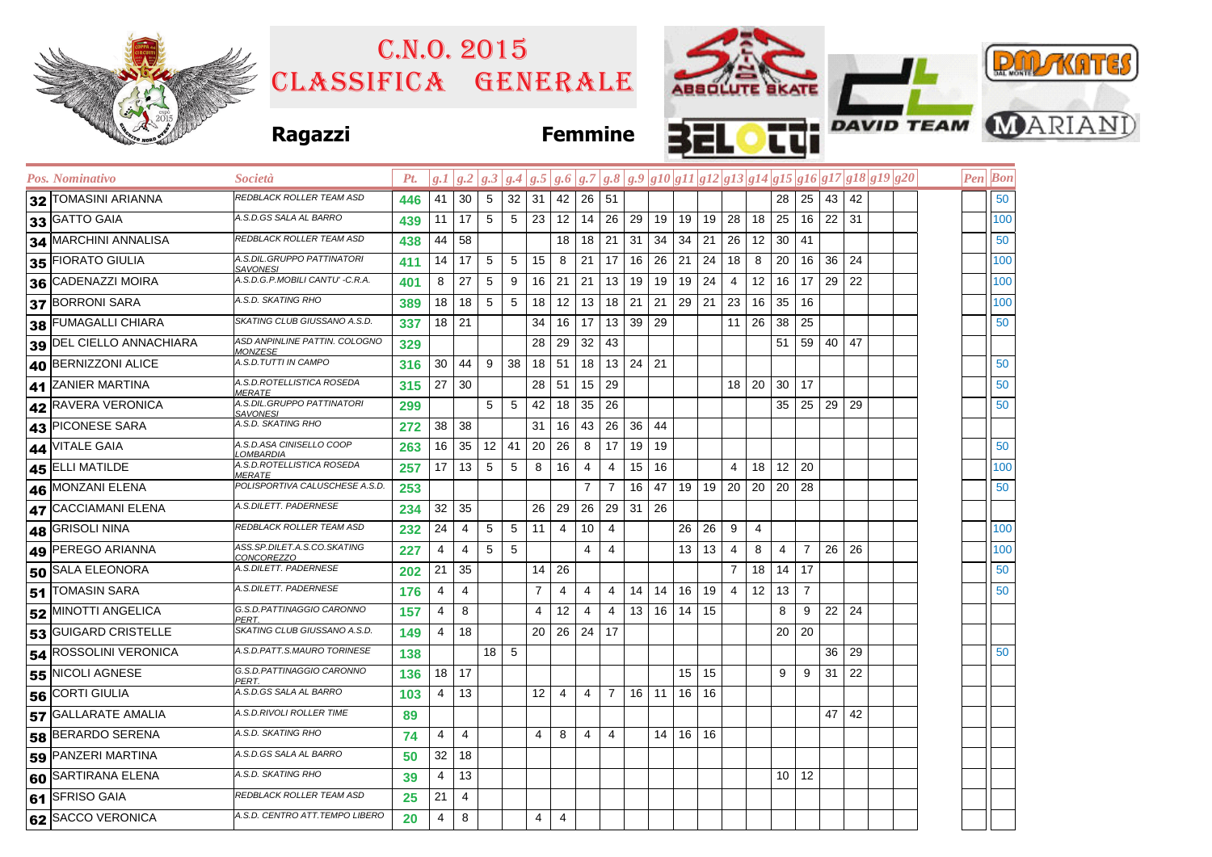|    |                          |                                                   |             | C.N.0.2015<br>CLASSIFICA GENERALE |                 |                 |                 |    |                |                      |                |    | ABSOLUTE SKATE              |                  |                              |                 |                      |              |                |    |                            |                                                                                                                                                              |  |  | <b>PAIL KATES</b> |                |                               |  |  |
|----|--------------------------|---------------------------------------------------|-------------|-----------------------------------|-----------------|-----------------|-----------------|----|----------------|----------------------|----------------|----|-----------------------------|------------------|------------------------------|-----------------|----------------------|--------------|----------------|----|----------------------------|--------------------------------------------------------------------------------------------------------------------------------------------------------------|--|--|-------------------|----------------|-------------------------------|--|--|
|    |                          | <b>Ragazzi</b>                                    |             |                                   |                 |                 |                 |    | <b>Femmine</b> |                      |                |    |                             |                  |                              |                 |                      |              |                |    |                            |                                                                                                                                                              |  |  |                   |                | <b>CUI DAVID TEAM WARIAND</b> |  |  |
|    | Pos. Nominativo          | Società                                           | Pt.         |                                   |                 |                 |                 |    |                |                      |                |    |                             |                  |                              |                 |                      |              |                |    |                            | $\left g.I\left g.2\right g.3\left g.4\right g.5\left g.6\right g.7\left g.8\right g.9\left g10\right g11 g12 g13 g14 g15 g16 g17 g18 g19 g20\right.\right.$ |  |  |                   | <b>Pen</b> Bon |                               |  |  |
|    | 32 TOMASINI ARIANNA      | REDBLACK ROLLER TEAM ASD                          | 446         | 41                                | 30 <sup>1</sup> | 5               | $32 \mid 31$    |    |                | $42 \mid 26 \mid 51$ |                |    |                             |                  |                              |                 |                      |              | $28$ 25 43     |    | 42                         |                                                                                                                                                              |  |  |                   | 50             |                               |  |  |
|    | 33 GATTO GAIA            | A.S.D.GS SALA AL BARRO                            | 439         | 11                                | 17              | 5 <sup>5</sup>  | 5 <sup>5</sup>  | 23 |                |                      | $12$ 14 26 29  |    |                             |                  | 19 19 19 28                  |                 | 18 25 16 22 31       |              |                |    |                            |                                                                                                                                                              |  |  |                   | 100            |                               |  |  |
|    | 34 MARCHINI ANNALISA     | REDBLACK ROLLER TEAM ASD                          | 438         | 44                                | 58              |                 |                 |    | 18             | 18 21                |                | 31 |                             |                  | $34 \mid 34 \mid 21 \mid 26$ |                 | 12                   | $30 \mid 41$ |                |    |                            |                                                                                                                                                              |  |  |                   | 50             |                               |  |  |
|    | 35 FIORATO GIULIA        | A.S.DIL.GRUPPO PATTINATORI<br><u>SAVONESI</u>     | 411         | 14                                | 17              | 5               | $5\overline{)}$ | 15 | 8              |                      | $21 \mid 17$   | 16 |                             |                  | $26$ 21 24 18                |                 | 8                    |              | 20   16   36   |    | 24                         |                                                                                                                                                              |  |  |                   | 100            |                               |  |  |
|    | 36 CADENAZZI MOIRA       | A.S.D.G.P.MOBILI CANTU' -C.R.A.                   | 401         | 8                                 | 27              | 5               | 9               | 16 | 21             |                      | $21$ 13 19     |    |                             |                  | $19$ 19 24                   | $\overline{4}$  | 12                   |              | $16$ 17        | 29 | 22                         |                                                                                                                                                              |  |  |                   | 100            |                               |  |  |
|    | 37 BORRONI SARA          | A.S.D. SKATING RHO                                | 389         | 18                                | 18              | 5               | 5               | 18 | 12             |                      | 13   18   21   |    |                             |                  | $21 \mid 29 \mid 21 \mid 23$ |                 | 16                   | 35 16        |                |    |                            |                                                                                                                                                              |  |  |                   | 100            |                               |  |  |
| 38 | <b>FUMAGALLI CHIARA</b>  | SKATING CLUB GIUSSANO A.S.D.                      | 337         |                                   | 18 21           |                 |                 | 34 | 16             |                      | 17 13 39 29    |    |                             |                  |                              | 11 <sup>1</sup> | $26 \mid 38 \mid 25$ |              |                |    |                            |                                                                                                                                                              |  |  |                   | 50             |                               |  |  |
|    | 39 DEL CIELLO ANNACHIARA | ASD ANPINLINE PATTIN. COLOGNO<br><u>MONZESE</u>   | 329         |                                   |                 |                 |                 | 28 | 29             | $32 \mid 43$         |                |    |                             |                  |                              |                 |                      |              | 51   59   40   |    | 47                         |                                                                                                                                                              |  |  |                   |                |                               |  |  |
|    | 40 BERNIZZONI ALICE      | A.S.D.TUTTI IN CAMPO                              | 316         | 30                                | 44              | 9               | 38              | 18 | 51             |                      | $18$   13   24 |    | 21                          |                  |                              |                 |                      |              |                |    |                            |                                                                                                                                                              |  |  |                   | 50             |                               |  |  |
| 41 | <b>ZANIER MARTINA</b>    | A.S.D.ROTELLISTICA ROSEDA<br><b>MERATE</b>        | 315         | 27                                | 30              |                 |                 | 28 | 51             | $15$ 29              |                |    |                             |                  |                              |                 | 18 20 30 17          |              |                |    |                            |                                                                                                                                                              |  |  |                   | 50             |                               |  |  |
|    | 42 RAVERA VERONICA       | A.S.DIL.GRUPPO PATTINATORI<br>SAVONESI            | 299         |                                   |                 | 5               | $5\overline{5}$ | 42 | 18             | $35$ 26              |                |    |                             |                  |                              |                 |                      |              | 35   25   29   |    | 29                         |                                                                                                                                                              |  |  |                   | 50             |                               |  |  |
| 43 | <b>PICONESE SARA</b>     | A.S.D. SKATING RHO                                | 272         | 38                                | 38              |                 |                 | 31 | 16             |                      | 43 26 36       |    | 44                          |                  |                              |                 |                      |              |                |    |                            |                                                                                                                                                              |  |  |                   |                |                               |  |  |
|    | 44 VITALE GAIA           | A.S.D.ASA CINISELLO COOP<br><u>.OMBARDIA</u>      | 263         | 16                                | 35              | $12 \mid 41$    |                 | 20 | 26             |                      | $8 \mid 17$    | 19 | 19                          |                  |                              |                 |                      |              |                |    |                            |                                                                                                                                                              |  |  |                   | 50             |                               |  |  |
|    | 45 ELLI MATILDE          | A.S.D.ROTELLISTICA ROSEDA<br><i><b>IERATE</b></i> | 257         | 17                                | 13              | 5               | 5               | 8  | 16             | 4                    | 4              | 15 | 16                          |                  |                              | 4               | 18                   | $12 \mid 20$ |                |    |                            |                                                                                                                                                              |  |  |                   | 100            |                               |  |  |
| 46 | MONZANI ELENA            | POLISPORTIVA CALUSCHESE A.S.D.                    | 253         |                                   |                 |                 |                 |    |                | $\overline{7}$       | $\overline{7}$ | 16 |                             |                  | 47   19   19   20            |                 | 20 20 28             |              |                |    |                            |                                                                                                                                                              |  |  |                   | 50             |                               |  |  |
|    | 47 CACCIAMANI ELENA      | A.S.DILETT. PADERNESE                             | 234         | 32                                | 35              |                 |                 | 26 | 29             |                      | 26 29 31 26    |    |                             |                  |                              |                 |                      |              |                |    |                            |                                                                                                                                                              |  |  |                   |                |                               |  |  |
| 48 | <b>GRISOLI NINA</b>      | REDBLACK ROLLER TEAM ASD                          | 232         | 24                                | 4               | 5               | 5               | 11 | 4              | 10 <sup>1</sup>      | $\overline{4}$ |    |                             | 26               | 26                           | 9               | 4                    |              |                |    |                            |                                                                                                                                                              |  |  |                   | 100            |                               |  |  |
|    | 49 PEREGO ARIANNA        | 4SS.SP.DILET.A.S.CO.SKATING<br><u>CONCOREZZO</u>  | 227         | 4                                 | 4               | $5\phantom{.0}$ | 5               |    |                | 4                    | $\overline{4}$ |    |                             | 13 <sup>13</sup> | 13                           | 4               | 8                    | 4            | $\overline{7}$ |    | 26 26                      |                                                                                                                                                              |  |  |                   | 100            |                               |  |  |
|    | 50 SALA ELEONORA         | A.S.DILETT. PADERNESE                             | 202         | 21                                | 35              |                 |                 | 14 | 26             |                      |                |    |                             |                  |                              | $\overline{7}$  | 18                   | $14$ 17      |                |    |                            |                                                                                                                                                              |  |  |                   | 50             |                               |  |  |
|    | 51 TOMASIN SARA          | A.S.DILETT. PADERNESE                             | 176         | 4                                 | 4               |                 |                 | 7  | 4              | 4                    | 4              | 14 | 14                          |                  | $16$ 19 4                    |                 | 12                   | $13 \mid 7$  |                |    |                            |                                                                                                                                                              |  |  |                   | 50             |                               |  |  |
|    | 52 MINOTTI ANGELICA      | G.S.D.PATTINAGGIO CARONNO<br><b>PERT</b>          | 157         | 4                                 | 8               |                 |                 | 4  | 12             | 4                    | 4              | 13 |                             | 16 14 15         |                              |                 |                      | 8            | 9              | 22 | 24                         |                                                                                                                                                              |  |  |                   |                |                               |  |  |
|    | 53 GUIGARD CRISTELLE     | SKATING CLUB GIUSSANO A.S.D.                      | 149         | 4                                 | 18              |                 |                 | 20 | 26 24 17       |                      |                |    |                             |                  |                              |                 |                      | 20 20        |                |    |                            |                                                                                                                                                              |  |  |                   |                |                               |  |  |
|    | 54 ROSSOLINI VERONICA    | A.S.D.PATT.S.MAURO TORINESE                       | 138         |                                   |                 | $18 \mid 5$     |                 |    |                |                      |                |    |                             |                  |                              |                 |                      |              |                |    | 36 29                      |                                                                                                                                                              |  |  |                   | 50             |                               |  |  |
|    | 55 NICOLI AGNESE         | G.S.D.PATTINAGGIO CARONNO<br>PERT.                | $136$ 18 17 |                                   |                 |                 |                 |    |                |                      |                |    |                             |                  | $15$ 15                      |                 |                      |              |                |    | $9 \mid 9 \mid 31 \mid 22$ |                                                                                                                                                              |  |  |                   |                |                               |  |  |
|    | 56 CORTI GIULIA          | A.S.D.GS SALA AL BARRO                            | 103         | $\overline{4}$                    | 13              |                 |                 | 12 | 4              |                      |                |    | $4$   7   16   11   16   16 |                  |                              |                 |                      |              |                |    |                            |                                                                                                                                                              |  |  |                   |                |                               |  |  |
|    | 57 GALLARATE AMALIA      | A.S.D.RIVOLI ROLLER TIME                          | 89          |                                   |                 |                 |                 |    |                |                      |                |    |                             |                  |                              |                 |                      |              |                | 47 | 42                         |                                                                                                                                                              |  |  |                   |                |                               |  |  |
|    | 58 BERARDO SERENA        | A.S.D. SKATING RHO                                | 74          | $\overline{4}$                    | 4               |                 |                 | 4  | 8              | 4                    | $\overline{4}$ |    |                             | $14$ 16 16       |                              |                 |                      |              |                |    |                            |                                                                                                                                                              |  |  |                   |                |                               |  |  |
|    | 59 PANZERI MARTINA       | 4.S.D.GS SALA AL BARRO                            | 50          | 32                                | 18              |                 |                 |    |                |                      |                |    |                             |                  |                              |                 |                      |              |                |    |                            |                                                                                                                                                              |  |  |                   |                |                               |  |  |
|    | 60 SARTIRANA ELENA       | A.S.D. SKATING RHO                                | 39          | 4                                 | 13              |                 |                 |    |                |                      |                |    |                             |                  |                              |                 |                      |              | $10$ 12        |    |                            |                                                                                                                                                              |  |  |                   |                |                               |  |  |
|    | 61 SFRISO GAIA           | REDBLACK ROLLER TEAM ASD                          | 25          | 21                                | 4               |                 |                 |    |                |                      |                |    |                             |                  |                              |                 |                      |              |                |    |                            |                                                                                                                                                              |  |  |                   |                |                               |  |  |
|    | 62 SACCO VERONICA        | A.S.D. CENTRO ATT.TEMPO LIBERO                    | 20          | 4                                 | 8               |                 |                 | 4  | 4              |                      |                |    |                             |                  |                              |                 |                      |              |                |    |                            |                                                                                                                                                              |  |  |                   |                |                               |  |  |